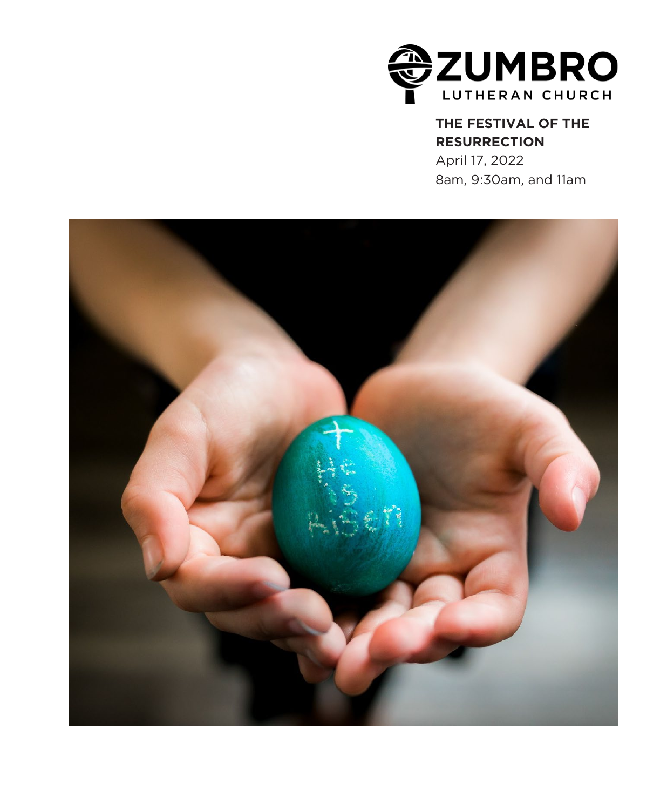

### **THE FESTIVAL OF THE RESURRECTION**

April 17, 2022 8am, 9:30am, and 11am

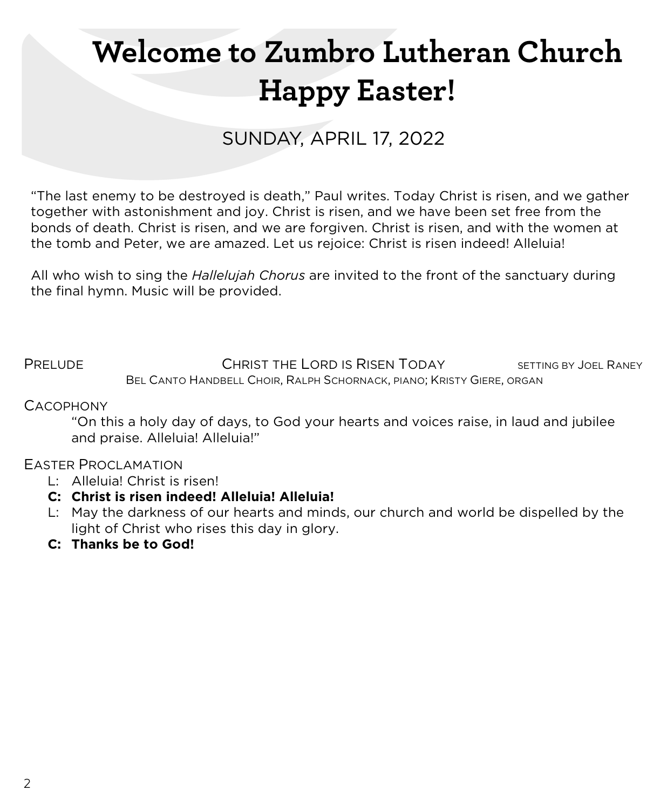# **Welcome to Zumbro Lutheran Church Happy Easter!**

# SUNDAY, APRIL 17, 2022

"The last enemy to be destroyed is death," Paul writes. Today Christ is risen, and we gather together with astonishment and joy. Christ is risen, and we have been set free from the bonds of death. Christ is risen, and we are forgiven. Christ is risen, and with the women at the tomb and Peter, we are amazed. Let us rejoice: Christ is risen indeed! Alleluia!

All who wish to sing the *Hallelujah Chorus* are invited to the front of the sanctuary during the final hymn. Music will be provided.

PRELUDE CHRIST THE LORD IS RISEN TODAY SETTING BY JOEL RANEY BEL CANTO HANDBELL CHOIR, RALPH SCHORNACK, PIANO; KRISTY GIERE, ORGAN

#### **CACOPHONY**

"On this a holy day of days, to God your hearts and voices raise, in laud and jubilee and praise. Alleluia! Alleluia!"

#### EASTER PROCLAMATION

- L: Alleluia! Christ is risen!
- **C: Christ is risen indeed! Alleluia! Alleluia!**
- L: May the darkness of our hearts and minds, our church and world be dispelled by the light of Christ who rises this day in glory.
- **C: Thanks be to God!**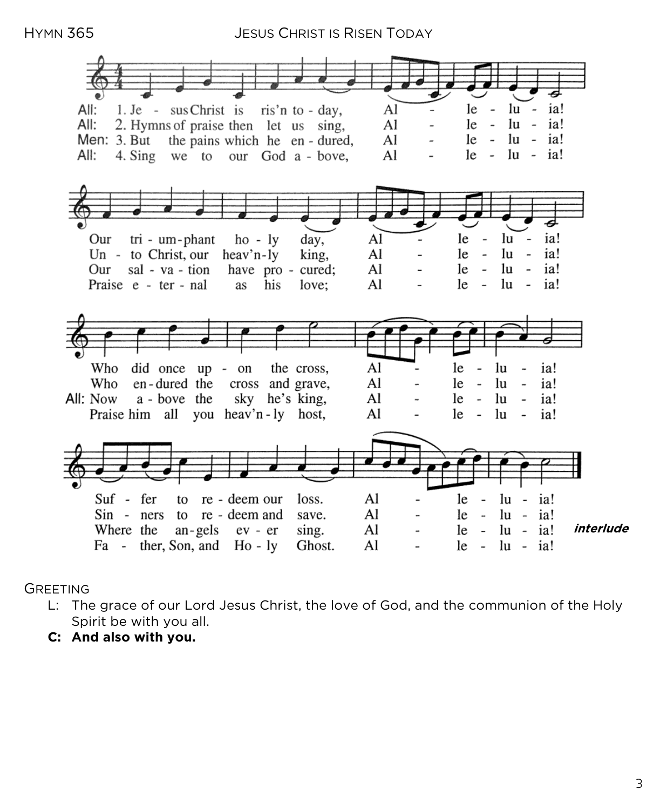HYMN 365 JESUS CHRIST IS RISEN TODAY



GREETING

- L: The grace of our Lord Jesus Christ, the love of God, and the communion of the Holy Spirit be with you all.
- **C: And also with you.**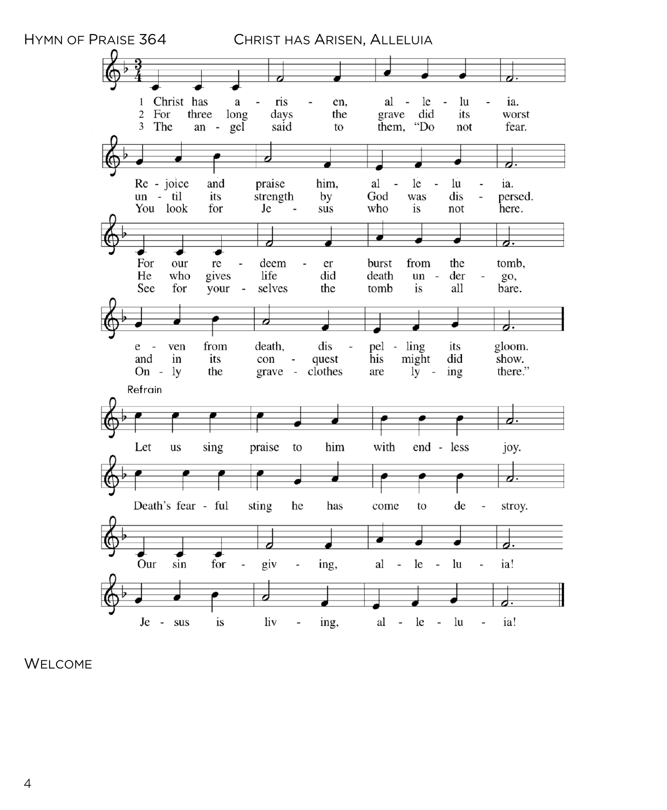

WELCOME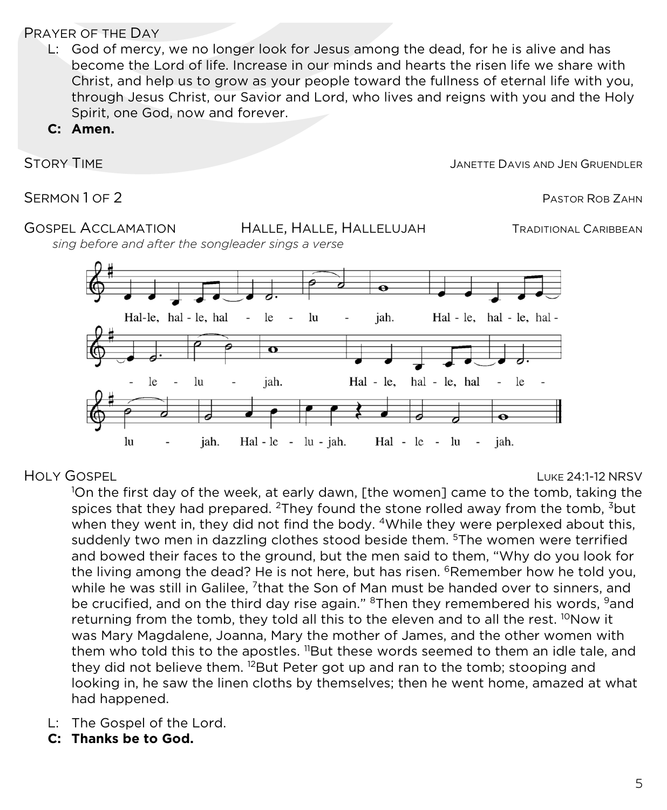### PRAYER OF THE DAY

L: God of mercy, we no longer look for Jesus among the dead, for he is alive and has become the Lord of life. Increase in our minds and hearts the risen life we share with Christ, and help us to grow as your people toward the fullness of eternal life with you, through Jesus Christ, our Savior and Lord, who lives and reigns with you and the Holy Spirit, one God, now and forever.

**C: Amen.**

STORY TIME **STORY TIME** 

SERMON 1 OF 2 PASTOR ROB ZAHN

### GOSPEL ACCLAMATION HALLE, HALLE, HALLELUJAH TRADITIONAL CARIBBEAN

 *sing before and after the songleader sings a verse* 



HOLY GOSPEL LUKE 24:1-12 NRSV

1 On the first day of the week, at early dawn, [the women] came to the tomb, taking the spices that they had prepared. <sup>2</sup>They found the stone rolled away from the tomb,  $3$ but when they went in, they did not find the body. <sup>4</sup>While they were perplexed about this, suddenly two men in dazzling clothes stood beside them. <sup>5</sup>The women were terrified and bowed their faces to the ground, but the men said to them, "Why do you look for the living among the dead? He is not here, but has risen. <sup>6</sup>Remember how he told you, while he was still in Galilee,  $7$ that the Son of Man must be handed over to sinners, and be crucified, and on the third day rise again." <sup>8</sup>Then they remembered his words, <sup>9</sup>and returning from the tomb, they told all this to the eleven and to all the rest. <sup>10</sup>Now it was Mary Magdalene, Joanna, Mary the mother of James, and the other women with them who told this to the apostles.  $\textsuperscript{1B}$ ut these words seemed to them an idle tale, and they did not believe them. <sup>12</sup>But Peter got up and ran to the tomb; stooping and looking in, he saw the linen cloths by themselves; then he went home, amazed at what had happened.

- L: The Gospel of the Lord.
- **C: Thanks be to God.**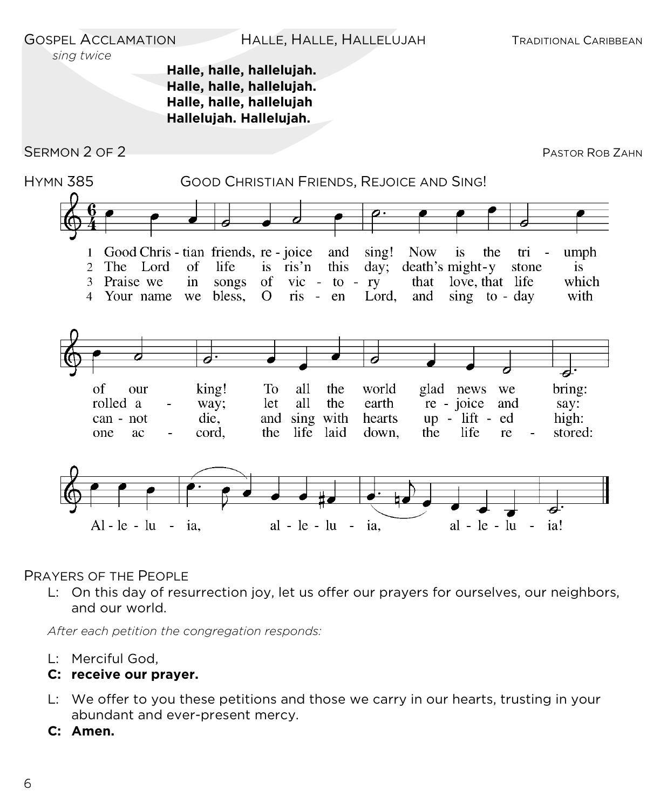GOSPEL ACCLAMATION HALLE, HALLE, HALLELUJAH TRADITIONAL CARIBBEAN

#### *sing twice*

#### **Halle, halle, hallelujah. Halle, halle, hallelujah. Halle, halle, hallelujah Hallelujah. Hallelujah.**

SERMON 2 OF 2 PASTOR ROB ZAHN



#### PRAYERS OF THE PEOPLE

L: On this day of resurrection joy, let us offer our prayers for ourselves, our neighbors, and our world.

*After each petition the congregation responds:*

L: Merciful God,

#### **C: receive our prayer.**

- L: We offer to you these petitions and those we carry in our hearts, trusting in your abundant and ever-present mercy.
- **C: Amen.**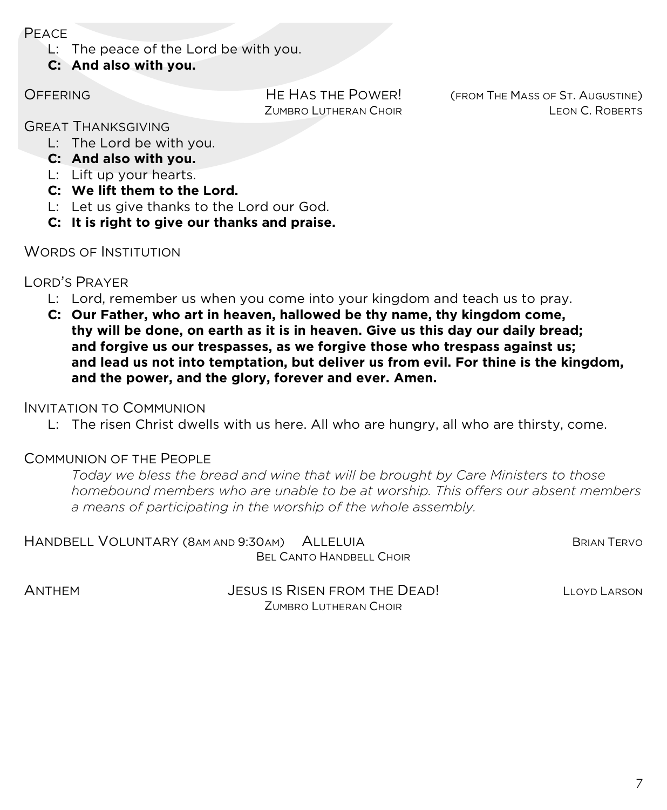PEACE

L: The peace of the Lord be with you.

**C: And also with you.**

OFFERING HE HAS THE POWER! (FROM THE MASS OF ST. AUGUSTINE) ZUMBRO LUTHERAN CHOIR LEON C. ROBERTS

#### GREAT THANKSGIVING

- L: The Lord be with you.
- **C: And also with you.**
- L: Lift up your hearts.
- **C: We lift them to the Lord.**
- L: Let us give thanks to the Lord our God.
- **C: It is right to give our thanks and praise.**

#### WORDS OF INSTITUTION

#### LORD'S PRAYER

- L: Lord, remember us when you come into your kingdom and teach us to pray.
- **C: Our Father, who art in heaven, hallowed be thy name, thy kingdom come, thy will be done, on earth as it is in heaven. Give us this day our daily bread; and forgive us our trespasses, as we forgive those who trespass against us; and lead us not into temptation, but deliver us from evil. For thine is the kingdom, and the power, and the glory, forever and ever. Amen.**

#### INVITATION TO COMMUNION

L: The risen Christ dwells with us here. All who are hungry, all who are thirsty, come.

#### COMMUNION OF THE PEOPLE

*Today we bless the bread and wine that will be brought by Care Ministers to those homebound members who are unable to be at worship. This offers our absent members a means of participating in the worship of the whole assembly.*

| HANDBELL VOLUNTARY (8AM AND 9:30AM) ALLELUIA |  | <b>BRIAN TERVO</b> |
|----------------------------------------------|--|--------------------|
| BEL CANTO HANDBELL CHOIR                     |  |                    |

ANTHEM JESUS IS RISEN FROM THE DEAD! LLOYD LARSON ZUMBRO LUTHERAN CHOIR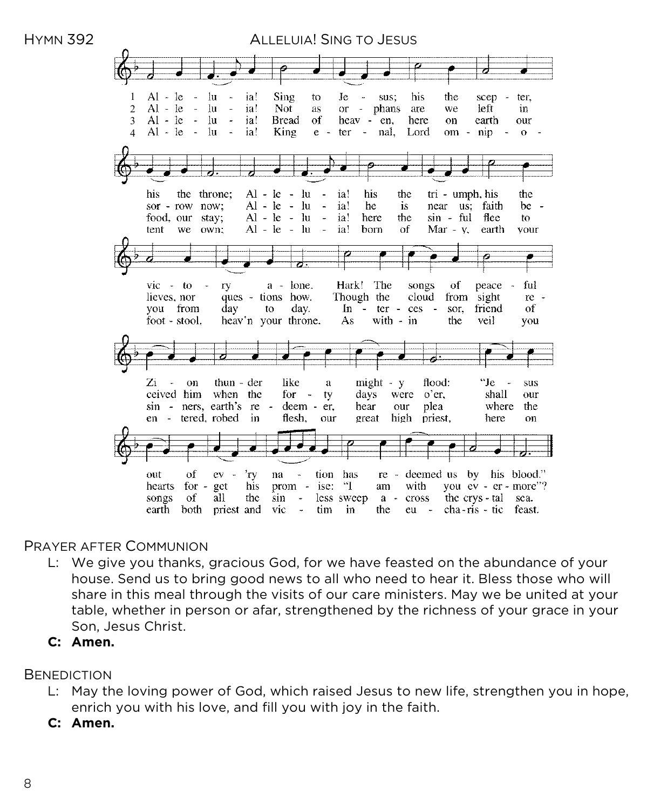

#### PRAYER AFTER COMMUNION

- L: We give you thanks, gracious God, for we have feasted on the abundance of your house. Send us to bring good news to all who need to hear it. Bless those who will share in this meal through the visits of our care ministers. May we be united at your table, whether in person or afar, strengthened by the richness of your grace in your Son, Jesus Christ.
- **C: Amen.**

#### **BENEDICTION**

- L: May the loving power of God, which raised Jesus to new life, strengthen you in hope, enrich you with his love, and fill you with joy in the faith.
- **C: Amen.**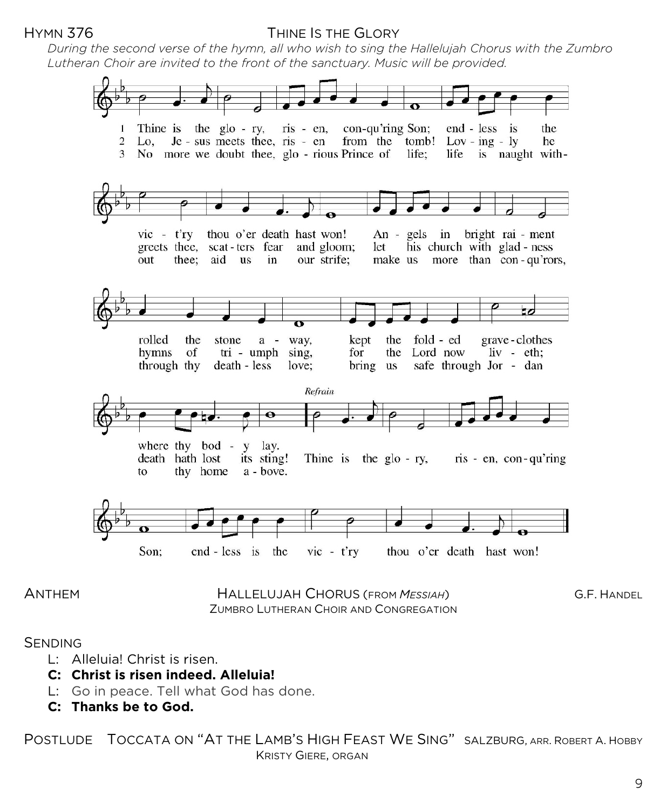#### HYMN 376 THINE IS THE GLORY

*During the second verse of the hymn, all who wish to sing the Hallelujah Chorus with the Zumbro Lutheran Choir are invited to the front of the sanctuary. Music will be provided.*



ANTHEM HALLELUJAH CHORUS (FROM *MESSIAH*) G.F. HANDEL ZUMBRO LUTHERAN CHOIR AND CONGREGATION

**SENDING** 

- L: Alleluia! Christ is risen.
- **C: Christ is risen indeed. Alleluia!**
- L: Go in peace. Tell what God has done.
- **C: Thanks be to God.**

POSTLUDE TOCCATA ON "AT THE LAMB'S HIGH FEAST WE SING" SALZBURG, ARR. ROBERT A. HOBBY KRISTY GIERE, ORGAN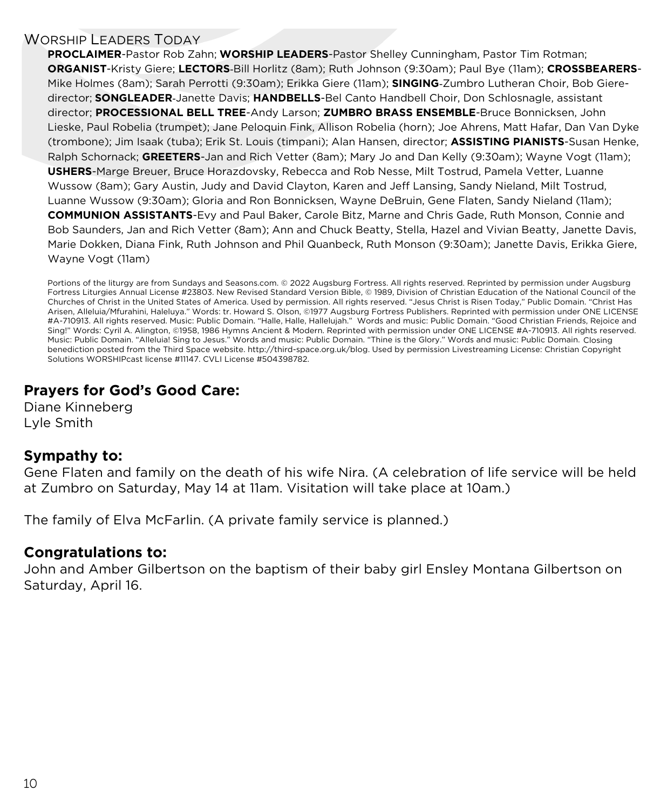#### WORSHIP LEADERS TODAY

**PROCLAIMER**-Pastor Rob Zahn; **WORSHIP LEADERS**-Pastor Shelley Cunningham, Pastor Tim Rotman; **ORGANIST**-Kristy Giere; **LECTORS**-Bill Horlitz (8am); Ruth Johnson (9:30am); Paul Bye (11am); **CROSSBEARERS**-Mike Holmes (8am); Sarah Perrotti (9:30am); Erikka Giere (11am); **SINGING**-Zumbro Lutheran Choir, Bob Gieredirector; **SONGLEADER**-Janette Davis; **HANDBELLS**-Bel Canto Handbell Choir, Don Schlosnagle, assistant director; **PROCESSIONAL BELL TREE**-Andy Larson; **ZUMBRO BRASS ENSEMBLE**-Bruce Bonnicksen, John Lieske, Paul Robelia (trumpet); Jane Peloquin Fink, Allison Robelia (horn); Joe Ahrens, Matt Hafar, Dan Van Dyke (trombone); Jim Isaak (tuba); Erik St. Louis (timpani); Alan Hansen, director; **ASSISTING PIANISTS**-Susan Henke, Ralph Schornack; **GREETERS**-Jan and Rich Vetter (8am); Mary Jo and Dan Kelly (9:30am); Wayne Vogt (11am); **USHERS**-Marge Breuer, Bruce Horazdovsky, Rebecca and Rob Nesse, Milt Tostrud, Pamela Vetter, Luanne Wussow (8am); Gary Austin, Judy and David Clayton, Karen and Jeff Lansing, Sandy Nieland, Milt Tostrud, Luanne Wussow (9:30am); Gloria and Ron Bonnicksen, Wayne DeBruin, Gene Flaten, Sandy Nieland (11am); **COMMUNION ASSISTANTS**-Evy and Paul Baker, Carole Bitz, Marne and Chris Gade, Ruth Monson, Connie and Bob Saunders, Jan and Rich Vetter (8am); Ann and Chuck Beatty, Stella, Hazel and Vivian Beatty, Janette Davis, Marie Dokken, Diana Fink, Ruth Johnson and Phil Quanbeck, Ruth Monson (9:30am); Janette Davis, Erikka Giere, Wayne Vogt (11am)

Portions of the liturgy are from Sundays and Seasons.com. © 2022 Augsburg Fortress. All rights reserved. Reprinted by permission under Augsburg Fortress Liturgies Annual License #23803. New Revised Standard Version Bible, © 1989, Division of Christian Education of the National Council of the Churches of Christ in the United States of America. Used by permission. All rights reserved. "Jesus Christ is Risen Today," Public Domain. "Christ Has Arisen, Alleluia/Mfurahini, Haleluya." Words: tr. Howard S. Olson, ©1977 Augsburg Fortress Publishers. Reprinted with permission under ONE LICENSE #A-710913. All rights reserved. Music: Public Domain. "Halle, Halle, Hallelujah." Words and music: Public Domain. "Good Christian Friends, Rejoice and Sing!" Words: Cyril A. Alington, ©1958, 1986 Hymns Ancient & Modern. Reprinted with permission under ONE LICENSE #A-710913. All rights reserved. Music: Public Domain. "Alleluia! Sing to Jesus." Words and music: Public Domain. "Thine is the Glory." Words and music: Public Domain. Closing benediction posted from the Third Space website. http://third-space.org.uk/blog. Used by permission Livestreaming License: Christian Copyright Solutions WORSHIPcast license #11147. CVLI License #504398782.

### **Prayers for God's Good Care:**

Diane Kinneberg Lyle Smith

#### **Sympathy to:**

Gene Flaten and family on the death of his wife Nira. (A celebration of life service will be held at Zumbro on Saturday, May 14 at 11am. Visitation will take place at 10am.)

The family of Elva McFarlin. (A private family service is planned.)

#### **Congratulations to:**

John and Amber Gilbertson on the baptism of their baby girl Ensley Montana Gilbertson on Saturday, April 16.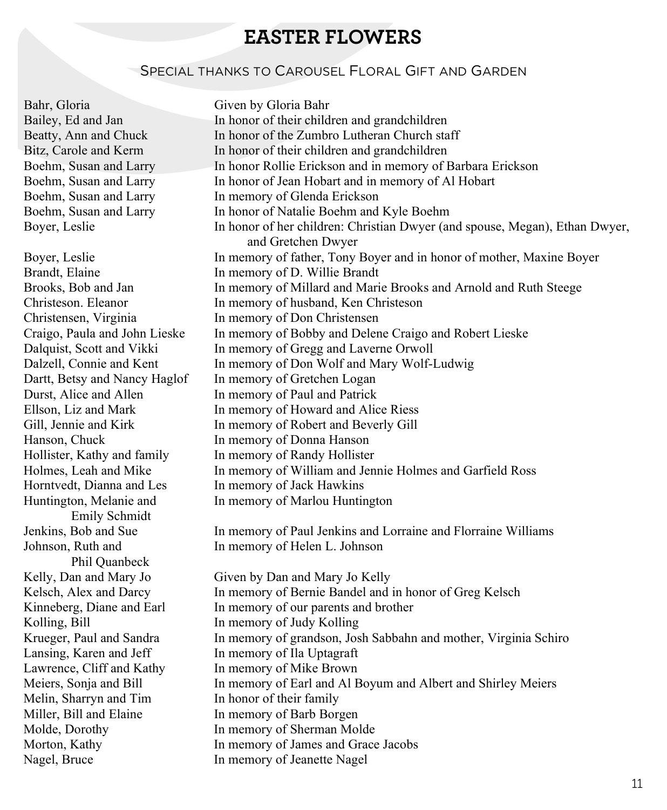## **EASTER FLOWERS**

#### SPECIAL THANKS TO CAROUSEL FLORAL GIFT AND GARDEN

Bahr, Gloria Given by Gloria Bahr

Horntvedt, Dianna and Les In memory of Jack Hawkins Emily Schmidt Phil Quanbeck Kolling, Bill In memory of Judy Kolling Lansing, Karen and Jeff In memory of Ila Uptagraft Lawrence, Cliff and Kathy In memory of Mike Brown Melin, Sharryn and Tim In honor of their family Miller, Bill and Elaine In memory of Barb Borgen

Bailey, Ed and Jan In honor of their children and grandchildren Beatty, Ann and Chuck In honor of the Zumbro Lutheran Church staff Bitz, Carole and Kerm In honor of their children and grandchildren Boehm, Susan and Larry In honor Rollie Erickson and in memory of Barbara Erickson Boehm, Susan and Larry In honor of Jean Hobart and in memory of Al Hobart Boehm, Susan and Larry In memory of Glenda Erickson Boehm, Susan and Larry In honor of Natalie Boehm and Kyle Boehm Boyer, Leslie In honor of her children: Christian Dwyer (and spouse, Megan), Ethan Dwyer, and Gretchen Dwyer Boyer, Leslie In memory of father, Tony Boyer and in honor of mother, Maxine Boyer Brandt, Elaine In memory of D. Willie Brandt Brooks, Bob and Jan In memory of Millard and Marie Brooks and Arnold and Ruth Steege Christeson. Eleanor In memory of husband, Ken Christeson Christensen, Virginia In memory of Don Christensen Craigo, Paula and John Lieske In memory of Bobby and Delene Craigo and Robert Lieske Dalquist, Scott and Vikki In memory of Gregg and Laverne Orwoll Dalzell, Connie and Kent In memory of Don Wolf and Mary Wolf-Ludwig Dartt, Betsy and Nancy Haglof In memory of Gretchen Logan<br>Durst, Alice and Allen In memory of Paul and Patrick In memory of Paul and Patrick Ellson, Liz and Mark In memory of Howard and Alice Riess Gill, Jennie and Kirk In memory of Robert and Beverly Gill Hanson, Chuck In memory of Donna Hanson Hollister, Kathy and family In memory of Randy Hollister Holmes, Leah and Mike In memory of William and Jennie Holmes and Garfield Ross Huntington, Melanie and In memory of Marlou Huntington Jenkins, Bob and Sue In memory of Paul Jenkins and Lorraine and Florraine Williams Johnson, Ruth and In memory of Helen L. Johnson

Kelly, Dan and Mary Jo Given by Dan and Mary Jo Kelly Kelsch, Alex and Darcy In memory of Bernie Bandel and in honor of Greg Kelsch Kinneberg, Diane and Earl In memory of our parents and brother Krueger, Paul and Sandra In memory of grandson, Josh Sabbahn and mother, Virginia Schiro Meiers, Sonja and Bill In memory of Earl and Al Boyum and Albert and Shirley Meiers Molde, Dorothy In memory of Sherman Molde Morton, Kathy In memory of James and Grace Jacobs<br>
Nagel, Bruce In memory of Jeanette Nagel In memory of Jeanette Nagel